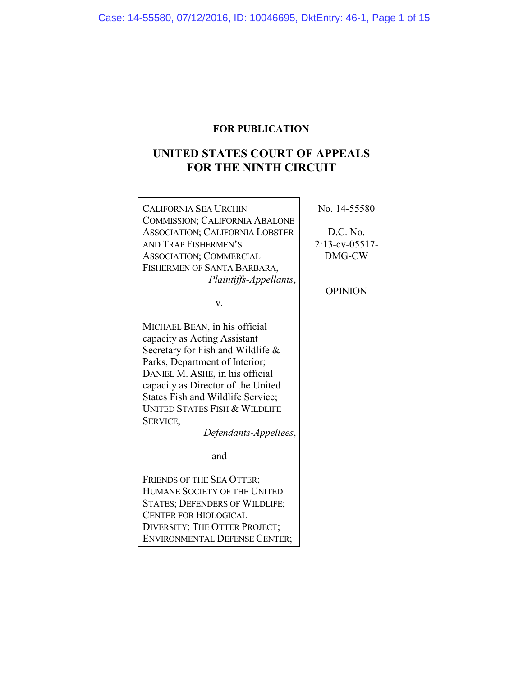# **FOR PUBLICATION**

# **UNITED STATES COURT OF APPEALS FOR THE NINTH CIRCUIT**

| <b>CALIFORNIA SEA URCHIN</b>                                                                                                                                                                                                                                                                                                                           | No. 14-55580      |
|--------------------------------------------------------------------------------------------------------------------------------------------------------------------------------------------------------------------------------------------------------------------------------------------------------------------------------------------------------|-------------------|
| <b>COMMISSION; CALIFORNIA ABALONE</b>                                                                                                                                                                                                                                                                                                                  |                   |
| ASSOCIATION; CALIFORNIA LOBSTER                                                                                                                                                                                                                                                                                                                        | D.C. No.          |
| AND TRAP FISHERMEN'S                                                                                                                                                                                                                                                                                                                                   | $2:13$ -cv-05517- |
| <b>ASSOCIATION; COMMERCIAL</b>                                                                                                                                                                                                                                                                                                                         | DMG-CW            |
| FISHERMEN OF SANTA BARBARA,                                                                                                                                                                                                                                                                                                                            |                   |
| Plaintiffs-Appellants,                                                                                                                                                                                                                                                                                                                                 |                   |
|                                                                                                                                                                                                                                                                                                                                                        | <b>OPINION</b>    |
| v.                                                                                                                                                                                                                                                                                                                                                     |                   |
|                                                                                                                                                                                                                                                                                                                                                        |                   |
| MICHAEL BEAN, in his official                                                                                                                                                                                                                                                                                                                          |                   |
| capacity as Acting Assistant                                                                                                                                                                                                                                                                                                                           |                   |
| Secretary for Fish and Wildlife &                                                                                                                                                                                                                                                                                                                      |                   |
| Parks, Department of Interior;                                                                                                                                                                                                                                                                                                                         |                   |
| DANIEL M. ASHE, in his official                                                                                                                                                                                                                                                                                                                        |                   |
| capacity as Director of the United                                                                                                                                                                                                                                                                                                                     |                   |
| States Fish and Wildlife Service;                                                                                                                                                                                                                                                                                                                      |                   |
| <b>UNITED STATES FISH &amp; WILDLIFE</b>                                                                                                                                                                                                                                                                                                               |                   |
| SERVICE,                                                                                                                                                                                                                                                                                                                                               |                   |
| Defendants-Appellees,                                                                                                                                                                                                                                                                                                                                  |                   |
|                                                                                                                                                                                                                                                                                                                                                        |                   |
| and                                                                                                                                                                                                                                                                                                                                                    |                   |
| <b>FRIENDS OF THE SEA OTTER;</b>                                                                                                                                                                                                                                                                                                                       |                   |
| HUMANE SOCIETY OF THE UNITED                                                                                                                                                                                                                                                                                                                           |                   |
| <b>STATES; DEFENDERS OF WILDLIFE;</b>                                                                                                                                                                                                                                                                                                                  |                   |
| <b>CENTER FOR BIOLOGICAL</b>                                                                                                                                                                                                                                                                                                                           |                   |
| $\mathbf{D}_{\mathbf{B}}$ (finite $\mathbf{D}_{\mathbf{B}}$ and $\mathbf{D}_{\mathbf{B}}$ and $\mathbf{D}_{\mathbf{B}}$ and $\mathbf{D}_{\mathbf{B}}$ and $\mathbf{D}_{\mathbf{B}}$ and $\mathbf{D}_{\mathbf{B}}$ and $\mathbf{D}_{\mathbf{B}}$ and $\mathbf{D}_{\mathbf{B}}$ and $\mathbf{D}_{\mathbf{B}}$ and $\mathbf{D}_{\mathbf{B}}$ are comparab |                   |

DIVERSITY; THE OTTER PROJECT; ENVIRONMENTAL DEFENSE CENTER;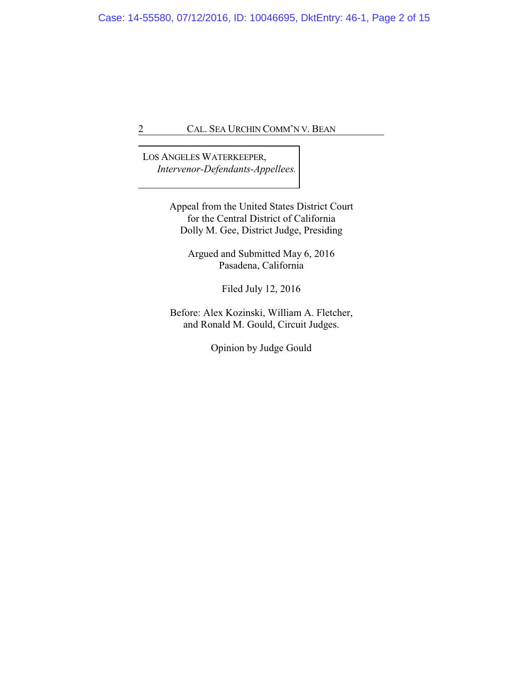LOS ANGELES WATERKEEPER, *Intervenor-Defendants-Appellees.*

> Appeal from the United States District Court for the Central District of California Dolly M. Gee, District Judge, Presiding

> > Argued and Submitted May 6, 2016 Pasadena, California

> > > Filed July 12, 2016

Before: Alex Kozinski, William A. Fletcher, and Ronald M. Gould, Circuit Judges.

Opinion by Judge Gould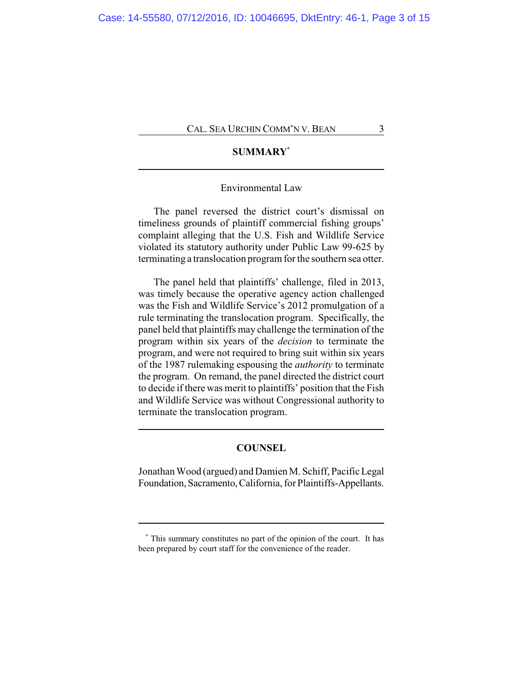# **SUMMARY\***

## Environmental Law

The panel reversed the district court's dismissal on timeliness grounds of plaintiff commercial fishing groups' complaint alleging that the U.S. Fish and Wildlife Service violated its statutory authority under Public Law 99-625 by terminating a translocation program for the southern sea otter.

The panel held that plaintiffs' challenge, filed in 2013, was timely because the operative agency action challenged was the Fish and Wildlife Service's 2012 promulgation of a rule terminating the translocation program. Specifically, the panel held that plaintiffs may challenge the termination of the program within six years of the *decision* to terminate the program, and were not required to bring suit within six years of the 1987 rulemaking espousing the *authority* to terminate the program. On remand, the panel directed the district court to decide if there was merit to plaintiffs' position that the Fish and Wildlife Service was without Congressional authority to terminate the translocation program.

# **COUNSEL**

Jonathan Wood (argued) and Damien M. Schiff, Pacific Legal Foundation, Sacramento,California, for Plaintiffs-Appellants.

**<sup>\*</sup>** This summary constitutes no part of the opinion of the court. It has been prepared by court staff for the convenience of the reader.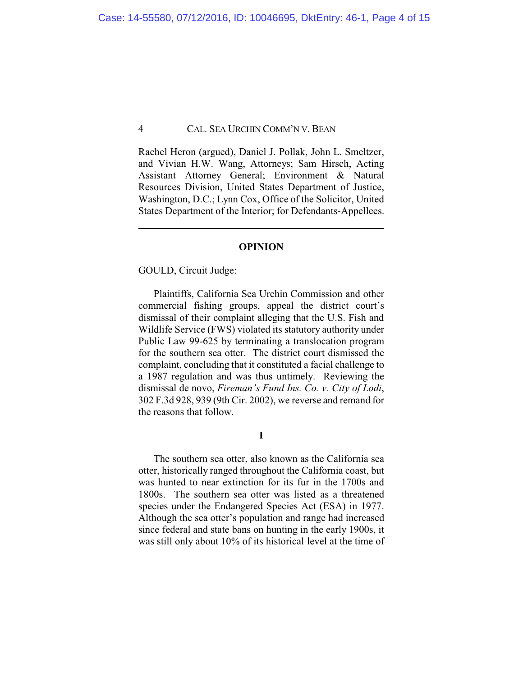Rachel Heron (argued), Daniel J. Pollak, John L. Smeltzer, and Vivian H.W. Wang, Attorneys; Sam Hirsch, Acting Assistant Attorney General; Environment & Natural Resources Division, United States Department of Justice, Washington, D.C.; Lynn Cox, Office of the Solicitor, United States Department of the Interior; for Defendants-Appellees.

#### **OPINION**

GOULD, Circuit Judge:

Plaintiffs, California Sea Urchin Commission and other commercial fishing groups, appeal the district court's dismissal of their complaint alleging that the U.S. Fish and Wildlife Service (FWS) violated its statutory authority under Public Law 99-625 by terminating a translocation program for the southern sea otter. The district court dismissed the complaint, concluding that it constituted a facial challenge to a 1987 regulation and was thus untimely. Reviewing the dismissal de novo, *Fireman's Fund Ins. Co. v. City of Lodi*, 302 F.3d 928, 939 (9th Cir. 2002), we reverse and remand for the reasons that follow.

**I**

The southern sea otter, also known as the California sea otter, historically ranged throughout the California coast, but was hunted to near extinction for its fur in the 1700s and 1800s. The southern sea otter was listed as a threatened species under the Endangered Species Act (ESA) in 1977. Although the sea otter's population and range had increased since federal and state bans on hunting in the early 1900s, it was still only about 10% of its historical level at the time of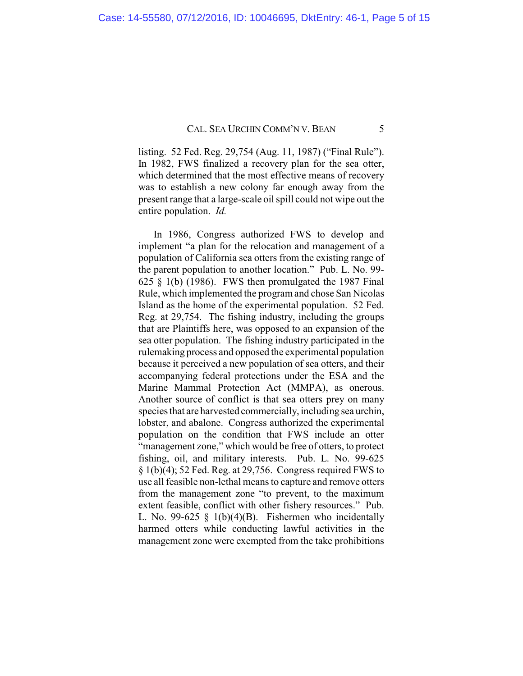listing. 52 Fed. Reg. 29,754 (Aug. 11, 1987) ("Final Rule"). In 1982, FWS finalized a recovery plan for the sea otter, which determined that the most effective means of recovery was to establish a new colony far enough away from the present range that a large-scale oil spill could not wipe out the entire population. *Id.*

In 1986, Congress authorized FWS to develop and implement "a plan for the relocation and management of a population of California sea otters from the existing range of the parent population to another location." Pub. L. No. 99- 625  $\S$  1(b) (1986). FWS then promulgated the 1987 Final Rule, which implemented the program and chose San Nicolas Island as the home of the experimental population. 52 Fed. Reg. at 29,754. The fishing industry, including the groups that are Plaintiffs here, was opposed to an expansion of the sea otter population. The fishing industry participated in the rulemaking process and opposed the experimental population because it perceived a new population of sea otters, and their accompanying federal protections under the ESA and the Marine Mammal Protection Act (MMPA), as onerous. Another source of conflict is that sea otters prey on many species that are harvested commercially, including sea urchin, lobster, and abalone. Congress authorized the experimental population on the condition that FWS include an otter "management zone," which would be free of otters, to protect fishing, oil, and military interests. Pub. L. No. 99-625 § 1(b)(4); 52 Fed. Reg. at 29,756. Congress required FWS to use all feasible non-lethal means to capture and remove otters from the management zone "to prevent, to the maximum extent feasible, conflict with other fishery resources." Pub. L. No. 99-625  $\S$  1(b)(4)(B). Fishermen who incidentally harmed otters while conducting lawful activities in the management zone were exempted from the take prohibitions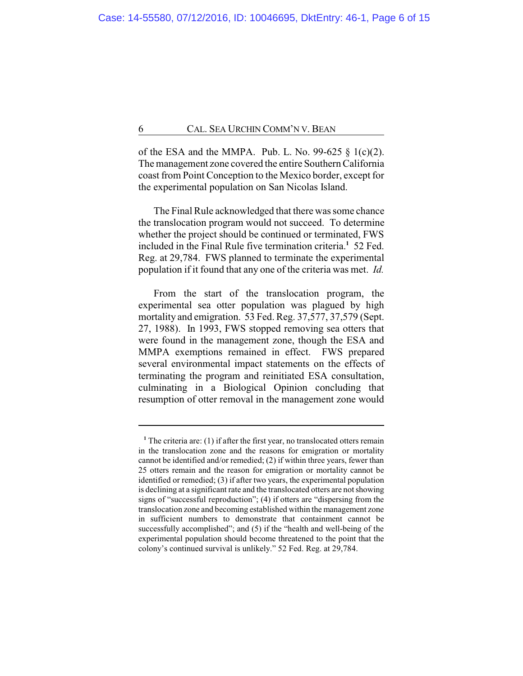of the ESA and the MMPA. Pub. L. No. 99-625  $\S$  1(c)(2). The management zone covered the entire Southern California coast from Point Conception to the Mexico border, except for the experimental population on San Nicolas Island.

The Final Rule acknowledged that there was some chance the translocation program would not succeed. To determine whether the project should be continued or terminated, FWS included in the Final Rule five termination criteria.**<sup>1</sup>** 52 Fed. Reg. at 29,784. FWS planned to terminate the experimental population if it found that any one of the criteria was met. *Id.*

From the start of the translocation program, the experimental sea otter population was plagued by high mortality and emigration. 53 Fed. Reg. 37,577, 37,579 (Sept. 27, 1988). In 1993, FWS stopped removing sea otters that were found in the management zone, though the ESA and MMPA exemptions remained in effect. FWS prepared several environmental impact statements on the effects of terminating the program and reinitiated ESA consultation, culminating in a Biological Opinion concluding that resumption of otter removal in the management zone would

<sup>&</sup>lt;sup>1</sup> The criteria are: (1) if after the first year, no translocated otters remain in the translocation zone and the reasons for emigration or mortality cannot be identified and/or remedied; (2) if within three years, fewer than 25 otters remain and the reason for emigration or mortality cannot be identified or remedied; (3) if after two years, the experimental population is declining at a significant rate and the translocated otters are not showing signs of "successful reproduction"; (4) if otters are "dispersing from the translocation zone and becoming established within the management zone in sufficient numbers to demonstrate that containment cannot be successfully accomplished"; and (5) if the "health and well-being of the experimental population should become threatened to the point that the colony's continued survival is unlikely." 52 Fed. Reg. at 29,784.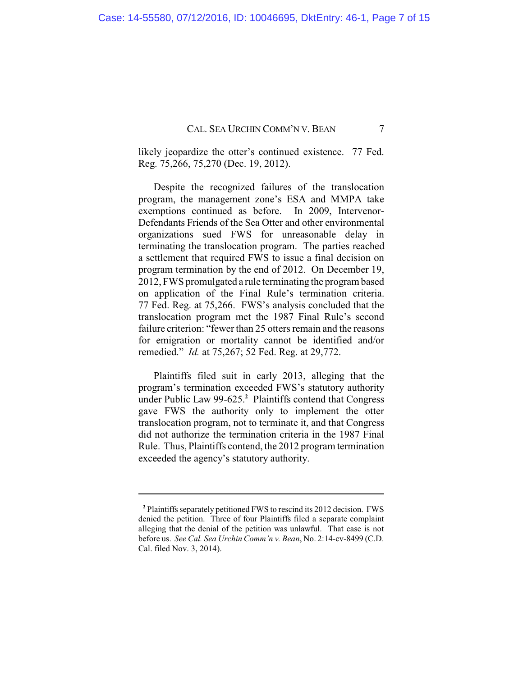likely jeopardize the otter's continued existence. 77 Fed. Reg. 75,266, 75,270 (Dec. 19, 2012).

Despite the recognized failures of the translocation program, the management zone's ESA and MMPA take exemptions continued as before. In 2009, Intervenor-Defendants Friends of the Sea Otter and other environmental organizations sued FWS for unreasonable delay in terminating the translocation program. The parties reached a settlement that required FWS to issue a final decision on program termination by the end of 2012. On December 19, 2012, FWS promulgated a rule terminating the program based on application of the Final Rule's termination criteria. 77 Fed. Reg. at 75,266. FWS's analysis concluded that the translocation program met the 1987 Final Rule's second failure criterion: "fewer than 25 otters remain and the reasons for emigration or mortality cannot be identified and/or remedied." *Id.* at 75,267; 52 Fed. Reg. at 29,772.

Plaintiffs filed suit in early 2013, alleging that the program's termination exceeded FWS's statutory authority under Public Law 99-625.**<sup>2</sup>** Plaintiffs contend that Congress gave FWS the authority only to implement the otter translocation program, not to terminate it, and that Congress did not authorize the termination criteria in the 1987 Final Rule. Thus, Plaintiffs contend, the 2012 program termination exceeded the agency's statutory authority.

**<sup>2</sup>** Plaintiffs separately petitioned FWS to rescind its 2012 decision. FWS denied the petition. Three of four Plaintiffs filed a separate complaint alleging that the denial of the petition was unlawful. That case is not before us. *See Cal. Sea Urchin Comm'n v. Bean*, No. 2:14-cv-8499 (C.D. Cal. filed Nov. 3, 2014).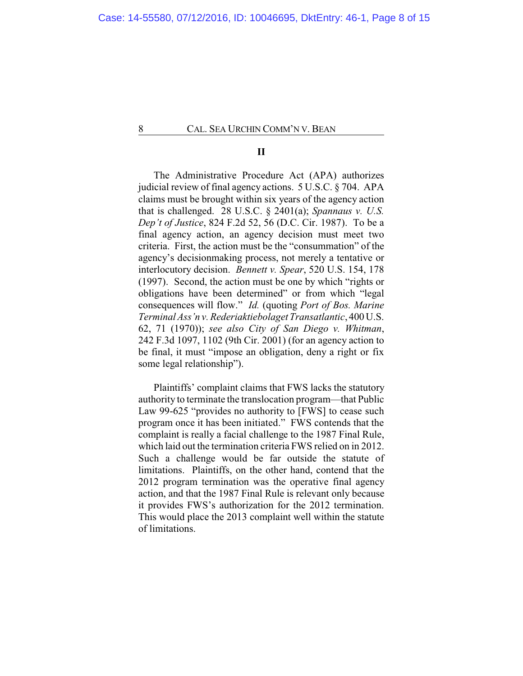# **II**

The Administrative Procedure Act (APA) authorizes judicial review of final agency actions. 5 U.S.C. § 704. APA claims must be brought within six years of the agency action that is challenged. 28 U.S.C. § 2401(a); *Spannaus v. U.S. Dep't of Justice*, 824 F.2d 52, 56 (D.C. Cir. 1987). To be a final agency action, an agency decision must meet two criteria. First, the action must be the "consummation" of the agency's decisionmaking process, not merely a tentative or interlocutory decision. *Bennett v. Spear*, 520 U.S. 154, 178 (1997). Second, the action must be one by which "rights or obligations have been determined" or from which "legal consequences will flow." *Id.* (quoting *Port of Bos. Marine Terminal Ass'n v. Rederiaktiebolaget Transatlantic*, 400 U.S. 62, 71 (1970)); *see also City of San Diego v. Whitman*, 242 F.3d 1097, 1102 (9th Cir. 2001) (for an agency action to be final, it must "impose an obligation, deny a right or fix some legal relationship").

Plaintiffs' complaint claims that FWS lacks the statutory authority to terminate the translocation program—that Public Law 99-625 "provides no authority to [FWS] to cease such program once it has been initiated." FWS contends that the complaint is really a facial challenge to the 1987 Final Rule, which laid out the termination criteria FWS relied on in 2012. Such a challenge would be far outside the statute of limitations. Plaintiffs, on the other hand, contend that the 2012 program termination was the operative final agency action, and that the 1987 Final Rule is relevant only because it provides FWS's authorization for the 2012 termination. This would place the 2013 complaint well within the statute of limitations.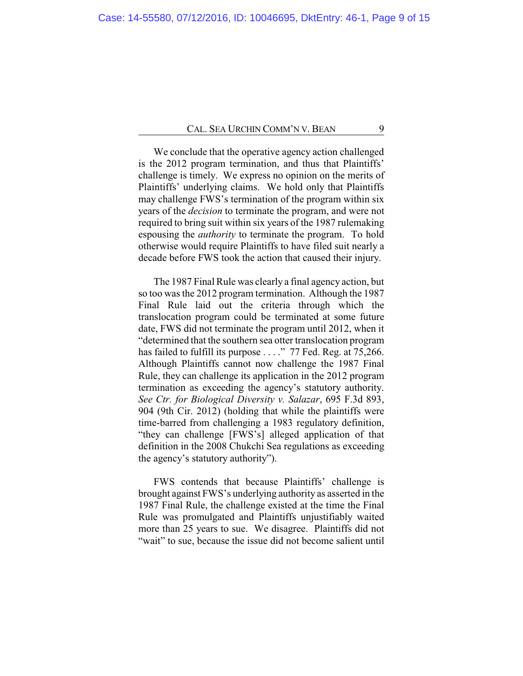We conclude that the operative agency action challenged is the 2012 program termination, and thus that Plaintiffs' challenge is timely. We express no opinion on the merits of Plaintiffs' underlying claims. We hold only that Plaintiffs may challenge FWS's termination of the program within six years of the *decision* to terminate the program, and were not required to bring suit within six years of the 1987 rulemaking espousing the *authority* to terminate the program. To hold otherwise would require Plaintiffs to have filed suit nearly a decade before FWS took the action that caused their injury.

The 1987 Final Rule was clearly a final agency action, but so too was the 2012 program termination. Although the 1987 Final Rule laid out the criteria through which the translocation program could be terminated at some future date, FWS did not terminate the program until 2012, when it "determined that the southern sea otter translocation program has failed to fulfill its purpose . . . ." 77 Fed. Reg. at 75,266. Although Plaintiffs cannot now challenge the 1987 Final Rule, they can challenge its application in the 2012 program termination as exceeding the agency's statutory authority. *See Ctr. for Biological Diversity v. Salazar*, 695 F.3d 893, 904 (9th Cir. 2012) (holding that while the plaintiffs were time-barred from challenging a 1983 regulatory definition, "they can challenge [FWS's] alleged application of that definition in the 2008 Chukchi Sea regulations as exceeding the agency's statutory authority").

FWS contends that because Plaintiffs' challenge is brought against FWS's underlying authority as asserted in the 1987 Final Rule, the challenge existed at the time the Final Rule was promulgated and Plaintiffs unjustifiably waited more than 25 years to sue. We disagree. Plaintiffs did not "wait" to sue, because the issue did not become salient until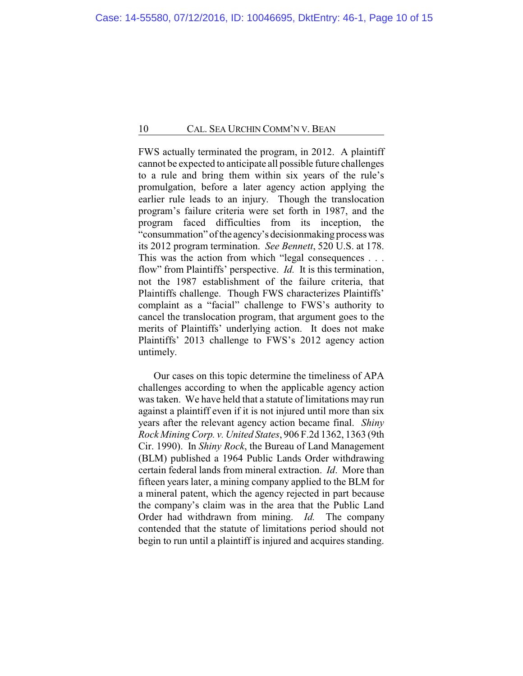FWS actually terminated the program, in 2012. A plaintiff cannot be expected to anticipate all possible future challenges to a rule and bring them within six years of the rule's promulgation, before a later agency action applying the earlier rule leads to an injury. Though the translocation program's failure criteria were set forth in 1987, and the program faced difficulties from its inception, the "consummation" of the agency's decisionmaking process was its 2012 program termination. *See Bennett*, 520 U.S. at 178. This was the action from which "legal consequences . . . flow" from Plaintiffs' perspective. *Id.* It is this termination, not the 1987 establishment of the failure criteria, that Plaintiffs challenge. Though FWS characterizes Plaintiffs' complaint as a "facial" challenge to FWS's authority to cancel the translocation program, that argument goes to the merits of Plaintiffs' underlying action. It does not make Plaintiffs' 2013 challenge to FWS's 2012 agency action untimely.

Our cases on this topic determine the timeliness of APA challenges according to when the applicable agency action was taken. We have held that a statute of limitations may run against a plaintiff even if it is not injured until more than six years after the relevant agency action became final. *Shiny Rock Mining Corp. v. United States*, 906 F.2d 1362, 1363 (9th Cir. 1990). In *Shiny Rock*, the Bureau of Land Management (BLM) published a 1964 Public Lands Order withdrawing certain federal lands from mineral extraction. *Id*. More than fifteen years later, a mining company applied to the BLM for a mineral patent, which the agency rejected in part because the company's claim was in the area that the Public Land Order had withdrawn from mining. *Id.* The company contended that the statute of limitations period should not begin to run until a plaintiff is injured and acquires standing.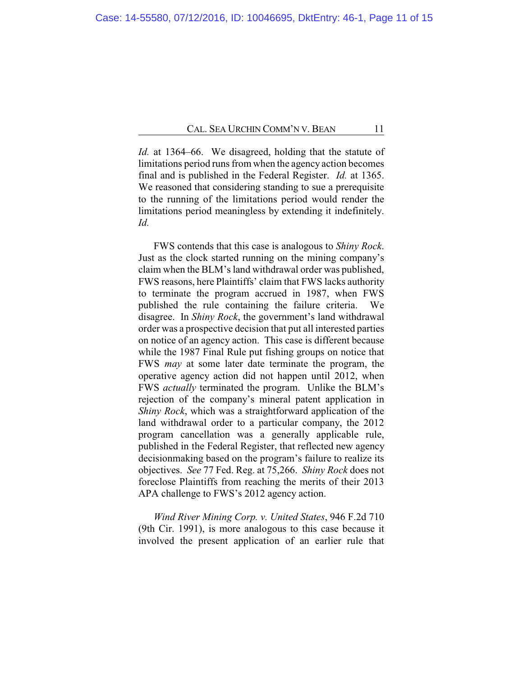*Id.* at 1364–66. We disagreed, holding that the statute of limitations period runs from when the agency action becomes final and is published in the Federal Register. *Id.* at 1365. We reasoned that considering standing to sue a prerequisite to the running of the limitations period would render the limitations period meaningless by extending it indefinitely. *Id.*

FWS contends that this case is analogous to *Shiny Rock*. Just as the clock started running on the mining company's claim when the BLM's land withdrawal order was published, FWS reasons, here Plaintiffs' claim that FWS lacks authority to terminate the program accrued in 1987, when FWS published the rule containing the failure criteria. We disagree. In *Shiny Rock*, the government's land withdrawal order was a prospective decision that put all interested parties on notice of an agency action. This case is different because while the 1987 Final Rule put fishing groups on notice that FWS *may* at some later date terminate the program, the operative agency action did not happen until 2012, when FWS *actually* terminated the program. Unlike the BLM's rejection of the company's mineral patent application in *Shiny Rock*, which was a straightforward application of the land withdrawal order to a particular company, the 2012 program cancellation was a generally applicable rule, published in the Federal Register, that reflected new agency decisionmaking based on the program's failure to realize its objectives. *See* 77 Fed. Reg. at 75,266. *Shiny Rock* does not foreclose Plaintiffs from reaching the merits of their 2013 APA challenge to FWS's 2012 agency action.

*Wind River Mining Corp. v. United States*, 946 F.2d 710 (9th Cir. 1991), is more analogous to this case because it involved the present application of an earlier rule that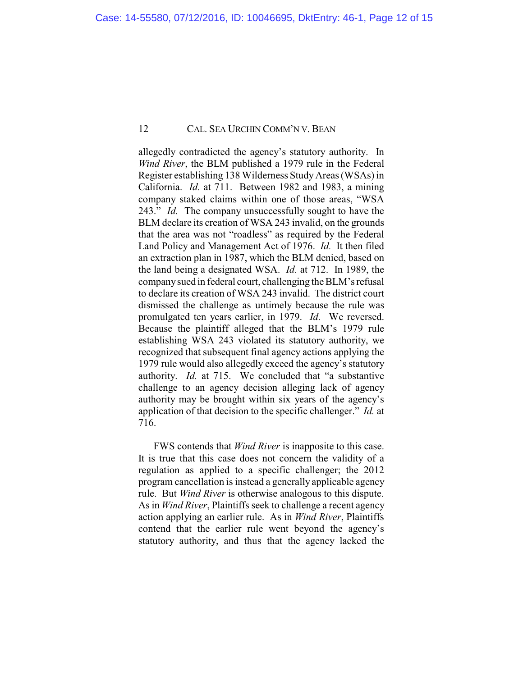allegedly contradicted the agency's statutory authority. In *Wind River*, the BLM published a 1979 rule in the Federal Register establishing 138 Wilderness Study Areas (WSAs) in California. *Id.* at 711. Between 1982 and 1983, a mining company staked claims within one of those areas, "WSA 243." *Id.* The company unsuccessfully sought to have the BLM declare its creation of WSA 243 invalid, on the grounds that the area was not "roadless" as required by the Federal Land Policy and Management Act of 1976. *Id.* It then filed an extraction plan in 1987, which the BLM denied, based on the land being a designated WSA. *Id.* at 712. In 1989, the companysued in federal court, challenging the BLM's refusal to declare its creation of WSA 243 invalid. The district court dismissed the challenge as untimely because the rule was promulgated ten years earlier, in 1979. *Id.* We reversed. Because the plaintiff alleged that the BLM's 1979 rule establishing WSA 243 violated its statutory authority, we recognized that subsequent final agency actions applying the 1979 rule would also allegedly exceed the agency's statutory authority. *Id.* at 715. We concluded that "a substantive challenge to an agency decision alleging lack of agency authority may be brought within six years of the agency's application of that decision to the specific challenger." *Id.* at 716.

FWS contends that *Wind River* is inapposite to this case. It is true that this case does not concern the validity of a regulation as applied to a specific challenger; the 2012 program cancellation is instead a generally applicable agency rule. But *Wind River* is otherwise analogous to this dispute. As in *Wind River*, Plaintiffs seek to challenge a recent agency action applying an earlier rule. As in *Wind River*, Plaintiffs contend that the earlier rule went beyond the agency's statutory authority, and thus that the agency lacked the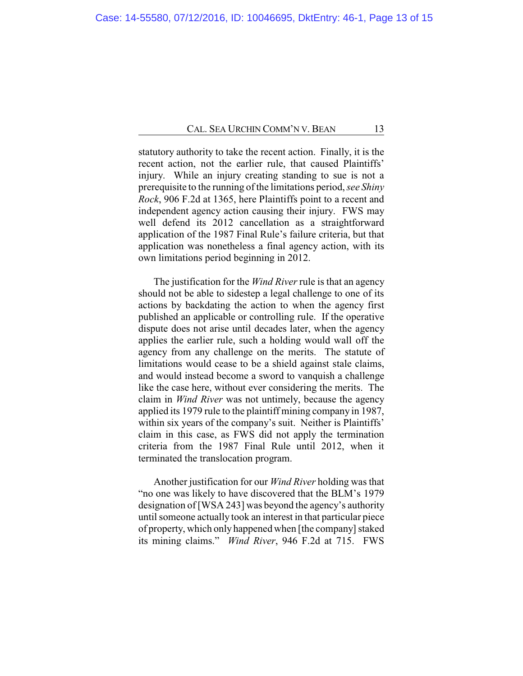statutory authority to take the recent action. Finally, it is the recent action, not the earlier rule, that caused Plaintiffs' injury. While an injury creating standing to sue is not a prerequisite to the running of the limitations period, *see Shiny Rock*, 906 F.2d at 1365, here Plaintiffs point to a recent and independent agency action causing their injury. FWS may well defend its 2012 cancellation as a straightforward application of the 1987 Final Rule's failure criteria, but that application was nonetheless a final agency action, with its own limitations period beginning in 2012.

The justification for the *Wind River* rule is that an agency should not be able to sidestep a legal challenge to one of its actions by backdating the action to when the agency first published an applicable or controlling rule. If the operative dispute does not arise until decades later, when the agency applies the earlier rule, such a holding would wall off the agency from any challenge on the merits. The statute of limitations would cease to be a shield against stale claims, and would instead become a sword to vanquish a challenge like the case here, without ever considering the merits. The claim in *Wind River* was not untimely, because the agency applied its 1979 rule to the plaintiff mining company in 1987, within six years of the company's suit. Neither is Plaintiffs' claim in this case, as FWS did not apply the termination criteria from the 1987 Final Rule until 2012, when it terminated the translocation program.

Another justification for our *Wind River* holding was that "no one was likely to have discovered that the BLM's 1979 designation of [WSA 243] was beyond the agency's authority until someone actually took an interest in that particular piece of property, which only happened when [the company]staked its mining claims." *Wind River*, 946 F.2d at 715. FWS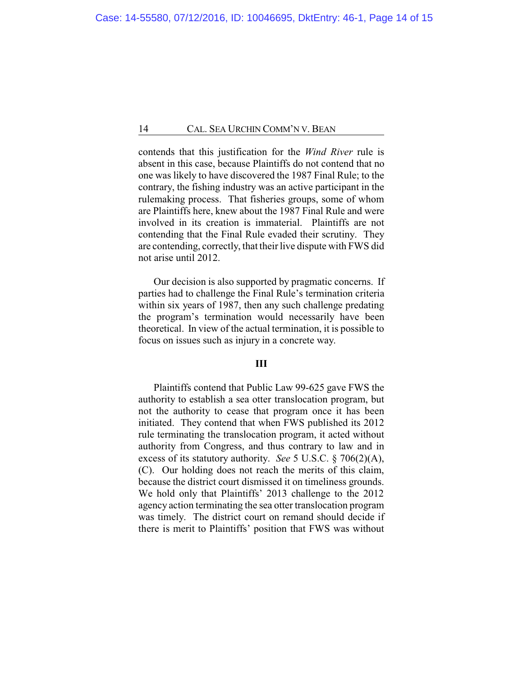contends that this justification for the *Wind River* rule is absent in this case, because Plaintiffs do not contend that no one was likely to have discovered the 1987 Final Rule; to the contrary, the fishing industry was an active participant in the rulemaking process. That fisheries groups, some of whom are Plaintiffs here, knew about the 1987 Final Rule and were involved in its creation is immaterial. Plaintiffs are not contending that the Final Rule evaded their scrutiny. They are contending, correctly, that their live dispute with FWS did not arise until 2012.

Our decision is also supported by pragmatic concerns. If parties had to challenge the Final Rule's termination criteria within six years of 1987, then any such challenge predating the program's termination would necessarily have been theoretical. In view of the actual termination, it is possible to focus on issues such as injury in a concrete way.

### **III**

Plaintiffs contend that Public Law 99-625 gave FWS the authority to establish a sea otter translocation program, but not the authority to cease that program once it has been initiated. They contend that when FWS published its 2012 rule terminating the translocation program, it acted without authority from Congress, and thus contrary to law and in excess of its statutory authority. *See* 5 U.S.C. § 706(2)(A), (C). Our holding does not reach the merits of this claim, because the district court dismissed it on timeliness grounds. We hold only that Plaintiffs' 2013 challenge to the 2012 agency action terminating the sea otter translocation program was timely. The district court on remand should decide if there is merit to Plaintiffs' position that FWS was without